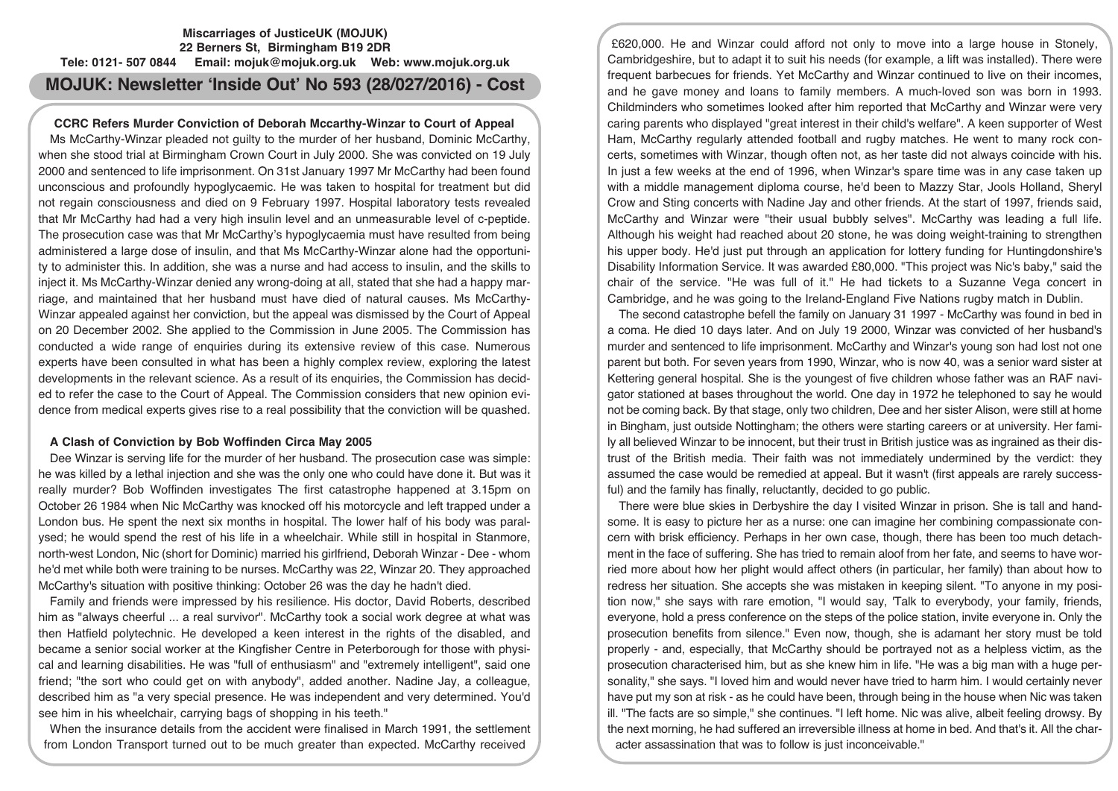# **Miscarriages of JusticeUK (MOJUK) 22 Berners St, Birmingham B19 2DR Tele: 0121- 507 0844 Email: mojuk@mojuk.org.uk Web: www.mojuk.org.uk**

# **MOJUK: Newsletter 'Inside Out' No 593 (28/027/2016) - Cost**

# **CCRC Refers Murder Conviction of Deborah Mccarthy-Winzar to Court of Appeal**

Ms McCarthy-Winzar pleaded not guilty to the murder of her husband, Dominic McCarthy, when she stood trial at Birmingham Crown Court in July 2000. She was convicted on 19 July 2000 and sentenced to life imprisonment. On 31st January 1997 Mr McCarthy had been found unconscious and profoundly hypoglycaemic. He was taken to hospital for treatment but did not regain consciousness and died on 9 February 1997. Hospital laboratory tests revealed that Mr McCarthy had had a very high insulin level and an unmeasurable level of c-peptide. The prosecution case was that Mr McCarthy's hypoglycaemia must have resulted from being administered a large dose of insulin, and that Ms McCarthy-Winzar alone had the opportunity to administer this. In addition, she was a nurse and had access to insulin, and the skills to inject it. Ms McCarthy-Winzar denied any wrong-doing at all, stated that she had a happy marriage, and maintained that her husband must have died of natural causes. Ms McCarthy-Winzar appealed against her conviction, but the appeal was dismissed by the Court of Appeal on 20 December 2002. She applied to the Commission in June 2005. The Commission has conducted a wide range of enquiries during its extensive review of this case. Numerous experts have been consulted in what has been a highly complex review, exploring the latest developments in the relevant science. As a result of its enquiries, the Commission has decided to refer the case to the Court of Appeal. The Commission considers that new opinion evidence from medical experts gives rise to a real possibility that the conviction will be quashed.

# **A Clash of Conviction by Bob Woffinden Circa May 2005**

Dee Winzar is serving life for the murder of her husband. The prosecution case was simple: he was killed by a lethal injection and she was the only one who could have done it. But was it really murder? Bob Woffinden investigates The first catastrophe happened at 3.15pm on October 26 1984 when Nic McCarthy was knocked off his motorcycle and left trapped under a London bus. He spent the next six months in hospital. The lower half of his body was paralysed; he would spend the rest of his life in a wheelchair. While still in hospital in Stanmore, north-west London, Nic (short for Dominic) married his girlfriend, Deborah Winzar - Dee - whom he'd met while both were training to be nurses. McCarthy was 22, Winzar 20. They approached McCarthy's situation with positive thinking: October 26 was the day he hadn't died.

Family and friends were impressed by his resilience. His doctor, David Roberts, described him as "always cheerful ... a real survivor". McCarthy took a social work degree at what was then Hatfield polytechnic. He developed a keen interest in the rights of the disabled, and became a senior social worker at the Kingfisher Centre in Peterborough for those with physical and learning disabilities. He was "full of enthusiasm" and "extremely intelligent", said one friend; "the sort who could get on with anybody", added another. Nadine Jay, a colleague, described him as "a very special presence. He was independent and very determined. You'd see him in his wheelchair, carrying bags of shopping in his teeth."

When the insurance details from the accident were finalised in March 1991, the settlement from London Transport turned out to be much greater than expected. McCarthy received

£620,000. He and Winzar could afford not only to move into a large house in Stonely, Cambridgeshire, but to adapt it to suit his needs (for example, a lift was installed). There were frequent barbecues for friends. Yet McCarthy and Winzar continued to live on their incomes, and he gave money and loans to family members. A much-loved son was born in 1993. Childminders who sometimes looked after him reported that McCarthy and Winzar were very caring parents who displayed "great interest in their child's welfare". A keen supporter of West Ham, McCarthy regularly attended football and rugby matches. He went to many rock concerts, sometimes with Winzar, though often not, as her taste did not always coincide with his. In just a few weeks at the end of 1996, when Winzar's spare time was in any case taken up with a middle management diploma course, he'd been to Mazzy Star, Jools Holland, Sheryl Crow and Sting concerts with Nadine Jay and other friends. At the start of 1997, friends said, McCarthy and Winzar were "their usual bubbly selves". McCarthy was leading a full life. Although his weight had reached about 20 stone, he was doing weight-training to strengthen his upper body. He'd just put through an application for lottery funding for Huntingdonshire's Disability Information Service. It was awarded £80,000. "This project was Nic's baby," said the chair of the service. "He was full of it." He had tickets to a Suzanne Vega concert in Cambridge, and he was going to the Ireland-England Five Nations rugby match in Dublin.

The second catastrophe befell the family on January 31 1997 - McCarthy was found in bed in a coma. He died 10 days later. And on July 19 2000, Winzar was convicted of her husband's murder and sentenced to life imprisonment. McCarthy and Winzar's young son had lost not one parent but both. For seven years from 1990, Winzar, who is now 40, was a senior ward sister at Kettering general hospital. She is the youngest of five children whose father was an RAF navigator stationed at bases throughout the world. One day in 1972 he telephoned to say he would not be coming back. By that stage, only two children, Dee and her sister Alison, were still at home in Bingham, just outside Nottingham; the others were starting careers or at university. Her family all believed Winzar to be innocent, but their trust in British justice was as ingrained as their distrust of the British media. Their faith was not immediately undermined by the verdict: they assumed the case would be remedied at appeal. But it wasn't (first appeals are rarely successful) and the family has finally, reluctantly, decided to go public.

There were blue skies in Derbyshire the day I visited Winzar in prison. She is tall and handsome. It is easy to picture her as a nurse: one can imagine her combining compassionate concern with brisk efficiency. Perhaps in her own case, though, there has been too much detachment in the face of suffering. She has tried to remain aloof from her fate, and seems to have worried more about how her plight would affect others (in particular, her family) than about how to redress her situation. She accepts she was mistaken in keeping silent. "To anyone in my position now," she says with rare emotion, "I would say, 'Talk to everybody, your family, friends, everyone, hold a press conference on the steps of the police station, invite everyone in. Only the prosecution benefits from silence." Even now, though, she is adamant her story must be told properly - and, especially, that McCarthy should be portrayed not as a helpless victim, as the prosecution characterised him, but as she knew him in life. "He was a big man with a huge personality," she says. "I loved him and would never have tried to harm him. I would certainly never have put my son at risk - as he could have been, through being in the house when Nic was taken ill. "The facts are so simple," she continues. "I left home. Nic was alive, albeit feeling drowsy. By the next morning, he had suffered an irreversible illness at home in bed. And that's it. All the character assassination that was to follow is just inconceivable."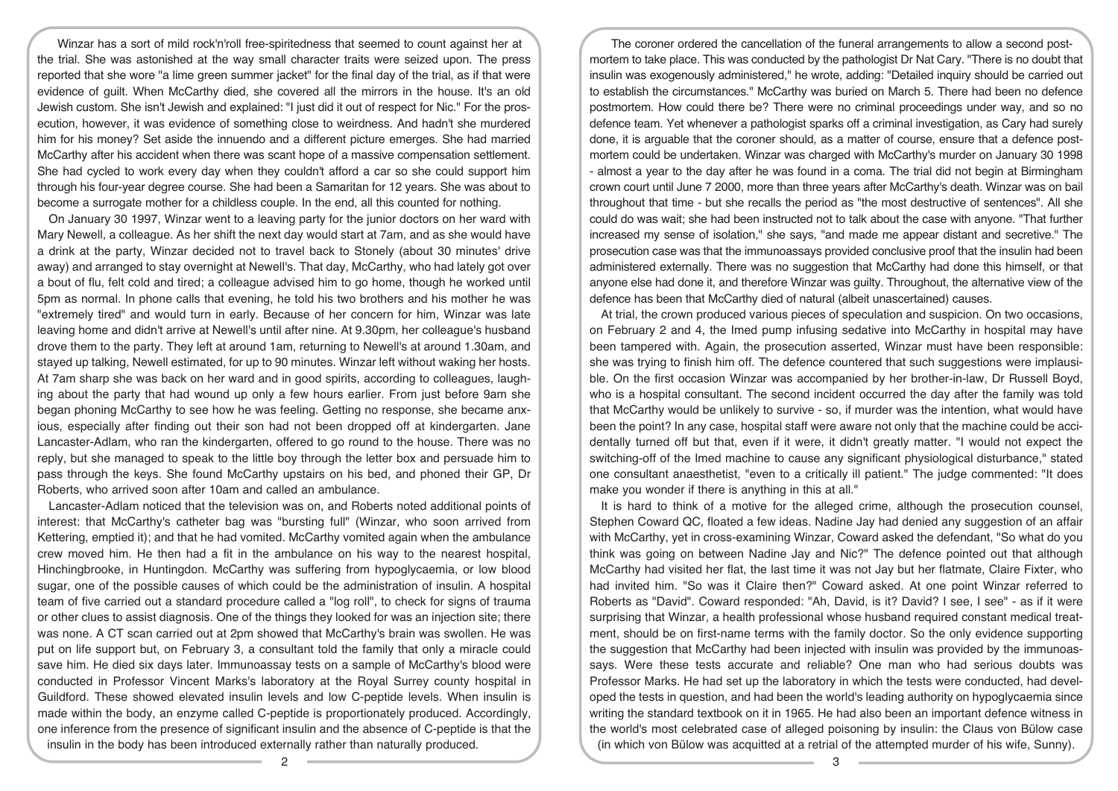Winzar has a sort of mild rock'n'roll free-spiritedness that seemed to count against her at the trial. She was astonished at the way small character traits were seized upon. The press reported that she wore "a lime green summer jacket" for the final day of the trial, as if that were evidence of guilt. When McCarthy died, she covered all the mirrors in the house. It's an old Jewish custom. She isn't Jewish and explained: "I just did it out of respect for Nic." For the prosecution, however, it was evidence of something close to weirdness. And hadn't she murdered him for his money? Set aside the innuendo and a different picture emerges. She had married McCarthy after his accident when there was scant hope of a massive compensation settlement. She had cycled to work every day when they couldn't afford a car so she could support him through his four-year degree course. She had been a Samaritan for 12 years. She was about to become a surrogate mother for a childless couple. In the end, all this counted for nothing.

On January 30 1997, Winzar went to a leaving party for the junior doctors on her ward with Mary Newell, a colleague. As her shift the next day would start at 7am, and as she would have a drink at the party, Winzar decided not to travel back to Stonely (about 30 minutes' drive away) and arranged to stay overnight at Newell's. That day, McCarthy, who had lately got over a bout of flu, felt cold and tired; a colleague advised him to go home, though he worked until 5pm as normal. In phone calls that evening, he told his two brothers and his mother he was "extremely tired" and would turn in early. Because of her concern for him, Winzar was late leaving home and didn't arrive at Newell's until after nine. At 9.30pm, her colleague's husband drove them to the party. They left at around 1am, returning to Newell's at around 1.30am, and stayed up talking, Newell estimated, for up to 90 minutes. Winzar left without waking her hosts. At 7am sharp she was back on her ward and in good spirits, according to colleagues, laughing about the party that had wound up only a few hours earlier. From just before 9am she began phoning McCarthy to see how he was feeling. Getting no response, she became anxious, especially after finding out their son had not been dropped off at kindergarten. Jane Lancaster-Adlam, who ran the kindergarten, offered to go round to the house. There was no reply, but she managed to speak to the little boy through the letter box and persuade him to pass through the keys. She found McCarthy upstairs on his bed, and phoned their GP, Dr Roberts, who arrived soon after 10am and called an ambulance.

Lancaster-Adlam noticed that the television was on, and Roberts noted additional points of interest: that McCarthy's catheter bag was "bursting full" (Winzar, who soon arrived from Kettering, emptied it); and that he had vomited. McCarthy vomited again when the ambulance crew moved him. He then had a fit in the ambulance on his way to the nearest hospital, Hinchingbrooke, in Huntingdon. McCarthy was suffering from hypoglycaemia, or low blood sugar, one of the possible causes of which could be the administration of insulin. A hospital team of five carried out a standard procedure called a "log roll", to check for signs of trauma or other clues to assist diagnosis. One of the things they looked for was an injection site; there was none. A CT scan carried out at 2pm showed that McCarthy's brain was swollen. He was put on life support but, on February 3, a consultant told the family that only a miracle could save him. He died six days later. Immunoassay tests on a sample of McCarthy's blood were conducted in Professor Vincent Marks's laboratory at the Royal Surrey county hospital in Guildford. These showed elevated insulin levels and low C-peptide levels. When insulin is made within the body, an enzyme called C-peptide is proportionately produced. Accordingly, one inference from the presence of significant insulin and the absence of C-peptide is that the insulin in the body has been introduced externally rather than naturally produced.

The coroner ordered the cancellation of the funeral arrangements to allow a second postmortem to take place. This was conducted by the pathologist Dr Nat Cary. "There is no doubt that insulin was exogenously administered," he wrote, adding: "Detailed inquiry should be carried out to establish the circumstances." McCarthy was buried on March 5. There had been no defence postmortem. How could there be? There were no criminal proceedings under way, and so no defence team. Yet whenever a pathologist sparks off a criminal investigation, as Cary had surely done, it is arguable that the coroner should, as a matter of course, ensure that a defence postmortem could be undertaken. Winzar was charged with McCarthy's murder on January 30 1998 - almost a year to the day after he was found in a coma. The trial did not begin at Birmingham crown court until June 7 2000, more than three years after McCarthy's death. Winzar was on bail throughout that time - but she recalls the period as "the most destructive of sentences". All she could do was wait; she had been instructed not to talk about the case with anyone. "That further increased my sense of isolation," she says, "and made me appear distant and secretive." The prosecution case was that the immunoassays provided conclusive proof that the insulin had been administered externally. There was no suggestion that McCarthy had done this himself, or that anyone else had done it, and therefore Winzar was guilty. Throughout, the alternative view of the defence has been that McCarthy died of natural (albeit unascertained) causes.

At trial, the crown produced various pieces of speculation and suspicion. On two occasions, on February 2 and 4, the Imed pump infusing sedative into McCarthy in hospital may have been tampered with. Again, the prosecution asserted, Winzar must have been responsible: she was trying to finish him off. The defence countered that such suggestions were implausible. On the first occasion Winzar was accompanied by her brother-in-law, Dr Russell Boyd, who is a hospital consultant. The second incident occurred the day after the family was told that McCarthy would be unlikely to survive - so, if murder was the intention, what would have been the point? In any case, hospital staff were aware not only that the machine could be accidentally turned off but that, even if it were, it didn't greatly matter. "I would not expect the switching-off of the Imed machine to cause any significant physiological disturbance," stated one consultant anaesthetist, "even to a critically ill patient." The judge commented: "It does make you wonder if there is anything in this at all."

It is hard to think of a motive for the alleged crime, although the prosecution counsel, Stephen Coward QC, floated a few ideas. Nadine Jay had denied any suggestion of an affair with McCarthy, yet in cross-examining Winzar, Coward asked the defendant, "So what do you think was going on between Nadine Jay and Nic?" The defence pointed out that although McCarthy had visited her flat, the last time it was not Jay but her flatmate, Claire Fixter, who had invited him. "So was it Claire then?" Coward asked. At one point Winzar referred to Roberts as "David". Coward responded: "Ah, David, is it? David? I see, I see" - as if it were surprising that Winzar, a health professional whose husband required constant medical treatment, should be on first-name terms with the family doctor. So the only evidence supporting the suggestion that McCarthy had been injected with insulin was provided by the immunoassays. Were these tests accurate and reliable? One man who had serious doubts was Professor Marks. He had set up the laboratory in which the tests were conducted, had developed the tests in question, and had been the world's leading authority on hypoglycaemia since writing the standard textbook on it in 1965. He had also been an important defence witness in the world's most celebrated case of alleged poisoning by insulin: the Claus von Bülow case (in which von Bülow was acquitted at a retrial of the attempted murder of his wife, Sunny).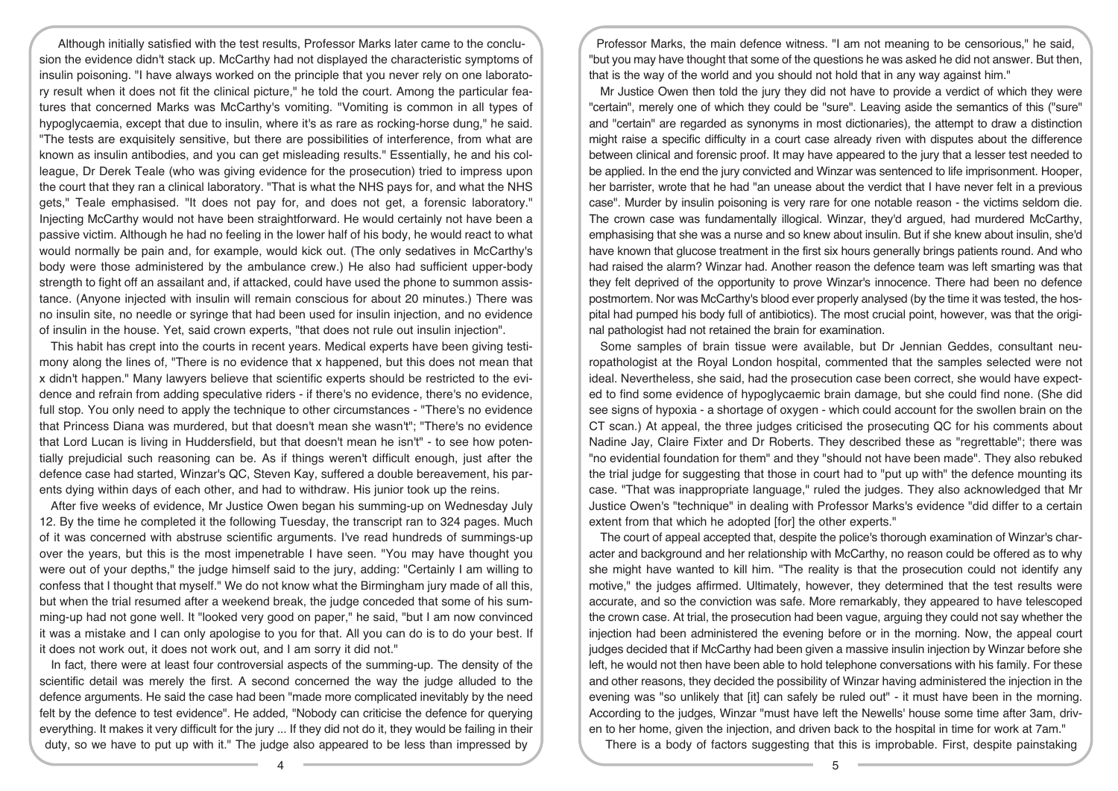Although initially satisfied with the test results, Professor Marks later came to the conclusion the evidence didn't stack up. McCarthy had not displayed the characteristic symptoms of insulin poisoning. "I have always worked on the principle that you never rely on one laboratory result when it does not fit the clinical picture," he told the court. Among the particular features that concerned Marks was McCarthy's vomiting. "Vomiting is common in all types of hypoglycaemia, except that due to insulin, where it's as rare as rocking-horse dung," he said. "The tests are exquisitely sensitive, but there are possibilities of interference, from what are known as insulin antibodies, and you can get misleading results." Essentially, he and his colleague, Dr Derek Teale (who was giving evidence for the prosecution) tried to impress upon the court that they ran a clinical laboratory. "That is what the NHS pays for, and what the NHS gets," Teale emphasised. "It does not pay for, and does not get, a forensic laboratory." Injecting McCarthy would not have been straightforward. He would certainly not have been a passive victim. Although he had no feeling in the lower half of his body, he would react to what would normally be pain and, for example, would kick out. (The only sedatives in McCarthy's body were those administered by the ambulance crew.) He also had sufficient upper-body strength to fight off an assailant and, if attacked, could have used the phone to summon assistance. (Anyone injected with insulin will remain conscious for about 20 minutes.) There was no insulin site, no needle or syringe that had been used for insulin injection, and no evidence of insulin in the house. Yet, said crown experts, "that does not rule out insulin injection".

This habit has crept into the courts in recent years. Medical experts have been giving testimony along the lines of, "There is no evidence that x happened, but this does not mean that x didn't happen." Many lawyers believe that scientific experts should be restricted to the evidence and refrain from adding speculative riders - if there's no evidence, there's no evidence, full stop. You only need to apply the technique to other circumstances - "There's no evidence that Princess Diana was murdered, but that doesn't mean she wasn't"; "There's no evidence that Lord Lucan is living in Huddersfield, but that doesn't mean he isn't" - to see how potentially prejudicial such reasoning can be. As if things weren't difficult enough, just after the defence case had started, Winzar's QC, Steven Kay, suffered a double bereavement, his parents dying within days of each other, and had to withdraw. His junior took up the reins.

After five weeks of evidence, Mr Justice Owen began his summing-up on Wednesday July 12. By the time he completed it the following Tuesday, the transcript ran to 324 pages. Much of it was concerned with abstruse scientific arguments. I've read hundreds of summings-up over the years, but this is the most impenetrable I have seen. "You may have thought you were out of your depths," the judge himself said to the jury, adding: "Certainly I am willing to confess that I thought that myself." We do not know what the Birmingham jury made of all this, but when the trial resumed after a weekend break, the judge conceded that some of his summing-up had not gone well. It "looked very good on paper," he said, "but I am now convinced it was a mistake and I can only apologise to you for that. All you can do is to do your best. If it does not work out, it does not work out, and I am sorry it did not."

In fact, there were at least four controversial aspects of the summing-up. The density of the scientific detail was merely the first. A second concerned the way the judge alluded to the defence arguments. He said the case had been "made more complicated inevitably by the need felt by the defence to test evidence". He added, "Nobody can criticise the defence for querying everything. It makes it very difficult for the jury ... If they did not do it, they would be failing in their duty, so we have to put up with it." The judge also appeared to be less than impressed by

Professor Marks, the main defence witness. "I am not meaning to be censorious," he said, "but you may have thought that some of the questions he was asked he did not answer. But then, that is the way of the world and you should not hold that in any way against him."

Mr Justice Owen then told the jury they did not have to provide a verdict of which they were "certain", merely one of which they could be "sure". Leaving aside the semantics of this ("sure" and "certain" are regarded as synonyms in most dictionaries), the attempt to draw a distinction might raise a specific difficulty in a court case already riven with disputes about the difference between clinical and forensic proof. It may have appeared to the jury that a lesser test needed to be applied. In the end the jury convicted and Winzar was sentenced to life imprisonment. Hooper, her barrister, wrote that he had "an unease about the verdict that I have never felt in a previous case". Murder by insulin poisoning is very rare for one notable reason - the victims seldom die. The crown case was fundamentally illogical. Winzar, they'd argued, had murdered McCarthy, emphasising that she was a nurse and so knew about insulin. But if she knew about insulin, she'd have known that glucose treatment in the first six hours generally brings patients round. And who had raised the alarm? Winzar had. Another reason the defence team was left smarting was that they felt deprived of the opportunity to prove Winzar's innocence. There had been no defence postmortem. Nor was McCarthy's blood ever properly analysed (by the time it was tested, the hospital had pumped his body full of antibiotics). The most crucial point, however, was that the original pathologist had not retained the brain for examination.

Some samples of brain tissue were available, but Dr Jennian Geddes, consultant neuropathologist at the Royal London hospital, commented that the samples selected were not ideal. Nevertheless, she said, had the prosecution case been correct, she would have expected to find some evidence of hypoglycaemic brain damage, but she could find none. (She did see signs of hypoxia - a shortage of oxygen - which could account for the swollen brain on the CT scan.) At appeal, the three judges criticised the prosecuting QC for his comments about Nadine Jay, Claire Fixter and Dr Roberts. They described these as "regrettable"; there was "no evidential foundation for them" and they "should not have been made". They also rebuked the trial judge for suggesting that those in court had to "put up with" the defence mounting its case. "That was inappropriate language," ruled the judges. They also acknowledged that Mr Justice Owen's "technique" in dealing with Professor Marks's evidence "did differ to a certain extent from that which he adopted [for] the other experts."

The court of appeal accepted that, despite the police's thorough examination of Winzar's character and background and her relationship with McCarthy, no reason could be offered as to why she might have wanted to kill him. "The reality is that the prosecution could not identify any motive," the judges affirmed. Ultimately, however, they determined that the test results were accurate, and so the conviction was safe. More remarkably, they appeared to have telescoped the crown case. At trial, the prosecution had been vague, arguing they could not say whether the injection had been administered the evening before or in the morning. Now, the appeal court judges decided that if McCarthy had been given a massive insulin injection by Winzar before she left, he would not then have been able to hold telephone conversations with his family. For these and other reasons, they decided the possibility of Winzar having administered the injection in the evening was "so unlikely that [it] can safely be ruled out" - it must have been in the morning. According to the judges, Winzar "must have left the Newells' house some time after 3am, driven to her home, given the injection, and driven back to the hospital in time for work at 7am."

There is a body of factors suggesting that this is improbable. First, despite painstaking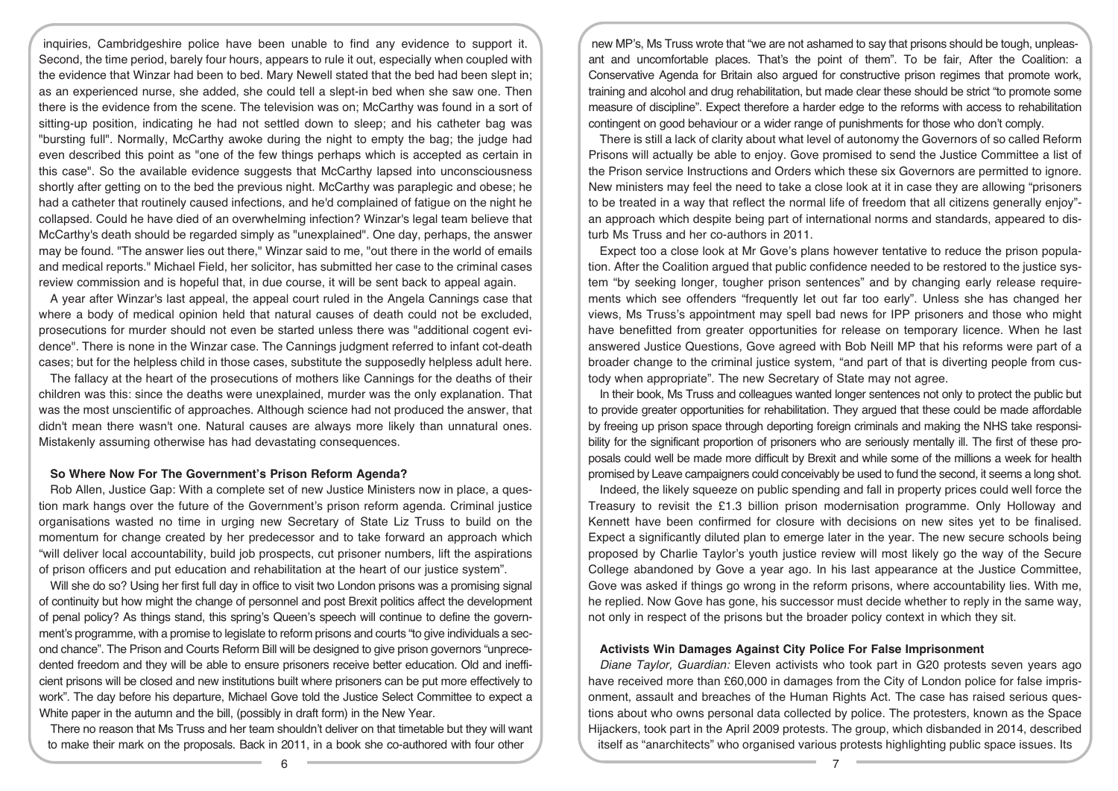inquiries, Cambridgeshire police have been unable to find any evidence to support it. Second, the time period, barely four hours, appears to rule it out, especially when coupled with the evidence that Winzar had been to bed. Mary Newell stated that the bed had been slept in; as an experienced nurse, she added, she could tell a slept-in bed when she saw one. Then there is the evidence from the scene. The television was on; McCarthy was found in a sort of sitting-up position, indicating he had not settled down to sleep; and his catheter bag was "bursting full". Normally, McCarthy awoke during the night to empty the bag; the judge had even described this point as "one of the few things perhaps which is accepted as certain in this case". So the available evidence suggests that McCarthy lapsed into unconsciousness shortly after getting on to the bed the previous night. McCarthy was paraplegic and obese; he had a catheter that routinely caused infections, and he'd complained of fatigue on the night he collapsed. Could he have died of an overwhelming infection? Winzar's legal team believe that McCarthy's death should be regarded simply as "unexplained". One day, perhaps, the answer may be found. "The answer lies out there," Winzar said to me, "out there in the world of emails and medical reports." Michael Field, her solicitor, has submitted her case to the criminal cases review commission and is hopeful that, in due course, it will be sent back to appeal again.

A year after Winzar's last appeal, the appeal court ruled in the Angela Cannings case that where a body of medical opinion held that natural causes of death could not be excluded, prosecutions for murder should not even be started unless there was "additional cogent evidence". There is none in the Winzar case. The Cannings judgment referred to infant cot-death cases; but for the helpless child in those cases, substitute the supposedly helpless adult here.

The fallacy at the heart of the prosecutions of mothers like Cannings for the deaths of their children was this: since the deaths were unexplained, murder was the only explanation. That was the most unscientific of approaches. Although science had not produced the answer, that didn't mean there wasn't one. Natural causes are always more likely than unnatural ones. Mistakenly assuming otherwise has had devastating consequences.

# **So Where Now For The Government's Prison Reform Agenda?**

Rob Allen, Justice Gap: With a complete set of new Justice Ministers now in place, a question mark hangs over the future of the Government's prison reform agenda. Criminal justice organisations wasted no time in urging new Secretary of State Liz Truss to build on the momentum for change created by her predecessor and to take forward an approach which "will deliver local accountability, build job prospects, cut prisoner numbers, lift the aspirations of prison officers and put education and rehabilitation at the heart of our justice system".

Will she do so? Using her first full day in office to visit two London prisons was a promising signal of continuity but how might the change of personnel and post Brexit politics affect the development of penal policy? As things stand, this spring's Queen's speech will continue to define the government's programme, with a promise to legislate to reform prisons and courts "to give individuals a second chance". The Prison and Courts Reform Bill will be designed to give prison governors "unprecedented freedom and they will be able to ensure prisoners receive better education. Old and inefficient prisons will be closed and new institutions built where prisoners can be put more effectively to work". The day before his departure, Michael Gove told the Justice Select Committee to expect a White paper in the autumn and the bill, (possibly in draft form) in the New Year.

There no reason that Ms Truss and her team shouldn't deliver on that timetable but they will want to make their mark on the proposals. Back in 2011, in a book she co-authored with four other

new MP's, Ms Truss wrote that "we are not ashamed to say that prisons should be tough, unpleasant and uncomfortable places. That's the point of them". To be fair, After the Coalition: a Conservative Agenda for Britain also argued for constructive prison regimes that promote work, training and alcohol and drug rehabilitation, but made clear these should be strict "to promote some measure of discipline". Expect therefore a harder edge to the reforms with access to rehabilitation contingent on good behaviour or a wider range of punishments for those who don't comply.

There is still a lack of clarity about what level of autonomy the Governors of so called Reform Prisons will actually be able to enjoy. Gove promised to send the Justice Committee a list of the Prison service Instructions and Orders which these six Governors are permitted to ignore. New ministers may feel the need to take a close look at it in case they are allowing "prisoners to be treated in a way that reflect the normal life of freedom that all citizens generally enjoy" an approach which despite being part of international norms and standards, appeared to disturb Ms Truss and her co-authors in 2011.

Expect too a close look at Mr Gove's plans however tentative to reduce the prison population. After the Coalition argued that public confidence needed to be restored to the justice system "by seeking longer, tougher prison sentences" and by changing early release requirements which see offenders "frequently let out far too early". Unless she has changed her views, Ms Truss's appointment may spell bad news for IPP prisoners and those who might have benefitted from greater opportunities for release on temporary licence. When he last answered Justice Questions, Gove agreed with Bob Neill MP that his reforms were part of a broader change to the criminal justice system, "and part of that is diverting people from custody when appropriate". The new Secretary of State may not agree.

In their book, Ms Truss and colleagues wanted longer sentences not only to protect the public but to provide greater opportunities for rehabilitation. They argued that these could be made affordable by freeing up prison space through deporting foreign criminals and making the NHS take responsibility for the significant proportion of prisoners who are seriously mentally ill. The first of these proposals could well be made more difficult by Brexit and while some of the millions a week for health promised by Leave campaigners could conceivably be used to fund the second, it seems a long shot.

Indeed, the likely squeeze on public spending and fall in property prices could well force the Treasury to revisit the £1.3 billion prison modernisation programme. Only Holloway and Kennett have been confirmed for closure with decisions on new sites yet to be finalised. Expect a significantly diluted plan to emerge later in the year. The new secure schools being proposed by Charlie Taylor's youth justice review will most likely go the way of the Secure College abandoned by Gove a year ago. In his last appearance at the Justice Committee, Gove was asked if things go wrong in the reform prisons, where accountability lies. With me, he replied. Now Gove has gone, his successor must decide whether to reply in the same way, not only in respect of the prisons but the broader policy context in which they sit.

#### **Activists Win Damages Against City Police For False Imprisonment**

*Diane Taylor, Guardian:* Eleven activists who took part in G20 protests seven years ago have received more than £60,000 in damages from the City of London police for false imprisonment, assault and breaches of the Human Rights Act. The case has raised serious questions about who owns personal data collected by police. The protesters, known as the Space Hijackers, took part in the April 2009 protests. The group, which disbanded in 2014, described itself as "anarchitects" who organised various protests highlighting public space issues. Its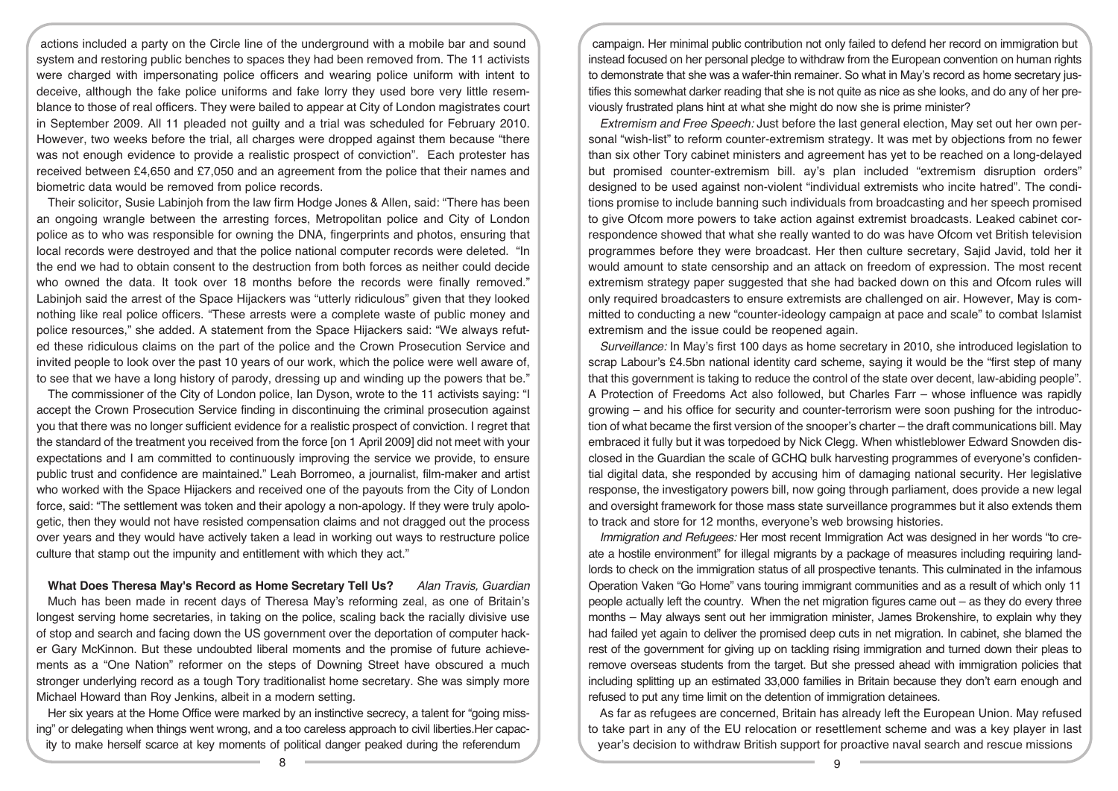actions included a party on the Circle line of the underground with a mobile bar and sound system and restoring public benches to spaces they had been removed from. The 11 activists were charged with impersonating police officers and wearing police uniform with intent to deceive, although the fake police uniforms and fake lorry they used bore very little resemblance to those of real officers. They were bailed to appear at City of London magistrates court in September 2009. All 11 pleaded not guilty and a trial was scheduled for February 2010. However, two weeks before the trial, all charges were dropped against them because "there was not enough evidence to provide a realistic prospect of conviction". Each protester has received between £4,650 and £7,050 and an agreement from the police that their names and biometric data would be removed from police records.

Their solicitor, Susie Labinjoh from the law firm Hodge Jones & Allen, said: "There has been an ongoing wrangle between the arresting forces, Metropolitan police and City of London police as to who was responsible for owning the DNA, fingerprints and photos, ensuring that local records were destroyed and that the police national computer records were deleted. "In the end we had to obtain consent to the destruction from both forces as neither could decide who owned the data. It took over 18 months before the records were finally removed." Labinjoh said the arrest of the Space Hijackers was "utterly ridiculous" given that they looked nothing like real police officers. "These arrests were a complete waste of public money and police resources," she added. A statement from the Space Hijackers said: "We always refuted these ridiculous claims on the part of the police and the Crown Prosecution Service and invited people to look over the past 10 years of our work, which the police were well aware of, to see that we have a long history of parody, dressing up and winding up the powers that be."

The commissioner of the City of London police, Ian Dyson, wrote to the 11 activists saying: "I accept the Crown Prosecution Service finding in discontinuing the criminal prosecution against you that there was no longer sufficient evidence for a realistic prospect of conviction. I regret that the standard of the treatment you received from the force [on 1 April 2009] did not meet with your expectations and I am committed to continuously improving the service we provide, to ensure public trust and confidence are maintained." Leah Borromeo, a journalist, film-maker and artist who worked with the Space Hijackers and received one of the payouts from the City of London force, said: "The settlement was token and their apology a non-apology. If they were truly apologetic, then they would not have resisted compensation claims and not dragged out the process over years and they would have actively taken a lead in working out ways to restructure police culture that stamp out the impunity and entitlement with which they act."

**What Does Theresa May's Record as Home Secretary Tell Us?** *Alan Travis, Guardian* Much has been made in recent days of Theresa May's reforming zeal, as one of Britain's longest serving home secretaries, in taking on the police, scaling back the racially divisive use of stop and search and facing down the US government over the deportation of computer hacker Gary McKinnon. But these undoubted liberal moments and the promise of future achievements as a "One Nation" reformer on the steps of Downing Street have obscured a much stronger underlying record as a tough Tory traditionalist home secretary. She was simply more Michael Howard than Roy Jenkins, albeit in a modern setting.

Her six years at the Home Office were marked by an instinctive secrecy, a talent for "going missing" or delegating when things went wrong, and a too careless approach to civil liberties.Her capacity to make herself scarce at key moments of political danger peaked during the referendum

campaign. Her minimal public contribution not only failed to defend her record on immigration but instead focused on her personal pledge to withdraw from the European convention on human rights to demonstrate that she was a wafer-thin remainer. So what in May's record as home secretary justifies this somewhat darker reading that she is not quite as nice as she looks, and do any of her previously frustrated plans hint at what she might do now she is prime minister?

*Extremism and Free Speech:* Just before the last general election, May set out her own personal "wish-list" to reform counter-extremism strategy. It was met by objections from no fewer than six other Tory cabinet ministers and agreement has yet to be reached on a long-delayed but promised counter-extremism bill. ay's plan included "extremism disruption orders" designed to be used against non-violent "individual extremists who incite hatred". The conditions promise to include banning such individuals from broadcasting and her speech promised to give Ofcom more powers to take action against extremist broadcasts. Leaked cabinet correspondence showed that what she really wanted to do was have Ofcom vet British television programmes before they were broadcast. Her then culture secretary, Sajid Javid, told her it would amount to state censorship and an attack on freedom of expression. The most recent extremism strategy paper suggested that she had backed down on this and Ofcom rules will only required broadcasters to ensure extremists are challenged on air. However, May is committed to conducting a new "counter-ideology campaign at pace and scale" to combat Islamist extremism and the issue could be reopened again.

*Surveillance:* In May's first 100 days as home secretary in 2010, she introduced legislation to scrap Labour's £4.5bn national identity card scheme, saying it would be the "first step of many that this government is taking to reduce the control of the state over decent, law-abiding people". A Protection of Freedoms Act also followed, but Charles Farr – whose influence was rapidly growing – and his office for security and counter-terrorism were soon pushing for the introduction of what became the first version of the snooper's charter – the draft communications bill. May embraced it fully but it was torpedoed by Nick Clegg. When whistleblower Edward Snowden disclosed in the Guardian the scale of GCHQ bulk harvesting programmes of everyone's confidential digital data, she responded by accusing him of damaging national security. Her legislative response, the investigatory powers bill, now going through parliament, does provide a new legal and oversight framework for those mass state surveillance programmes but it also extends them to track and store for 12 months, everyone's web browsing histories.

*Immigration and Refugees:* Her most recent Immigration Act was designed in her words "to create a hostile environment" for illegal migrants by a package of measures including requiring landlords to check on the immigration status of all prospective tenants. This culminated in the infamous Operation Vaken "Go Home" vans touring immigrant communities and as a result of which only 11 people actually left the country. When the net migration figures came out – as they do every three months – May always sent out her immigration minister, James Brokenshire, to explain why they had failed yet again to deliver the promised deep cuts in net migration. In cabinet, she blamed the rest of the government for giving up on tackling rising immigration and turned down their pleas to remove overseas students from the target. But she pressed ahead with immigration policies that including splitting up an estimated 33,000 families in Britain because they don't earn enough and refused to put any time limit on the detention of immigration detainees.

As far as refugees are concerned, Britain has already left the European Union. May refused to take part in any of the EU relocation or resettlement scheme and was a key player in last year's decision to withdraw British support for proactive naval search and rescue missions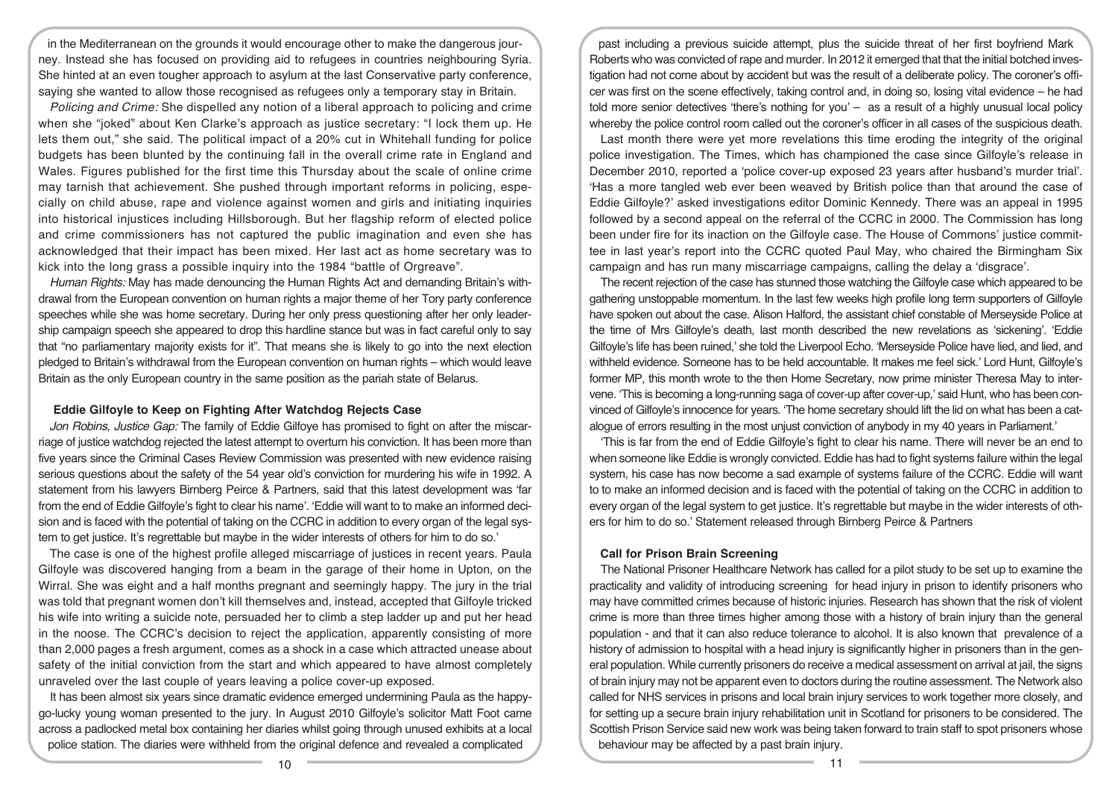in the Mediterranean on the grounds it would encourage other to make the dangerous journey. Instead she has focused on providing aid to refugees in countries neighbouring Syria. She hinted at an even tougher approach to asylum at the last Conservative party conference, saying she wanted to allow those recognised as refugees only a temporary stay in Britain.

*Policing and Crime:* She dispelled any notion of a liberal approach to policing and crime when she "joked" about Ken Clarke's approach as justice secretary: "I lock them up. He lets them out," she said. The political impact of a 20% cut in Whitehall funding for police budgets has been blunted by the continuing fall in the overall crime rate in England and Wales. Figures published for the first time this Thursday about the scale of online crime may tarnish that achievement. She pushed through important reforms in policing, especially on child abuse, rape and violence against women and girls and initiating inquiries into historical injustices including Hillsborough. But her flagship reform of elected police and crime commissioners has not captured the public imagination and even she has acknowledged that their impact has been mixed. Her last act as home secretary was to kick into the long grass a possible inquiry into the 1984 "battle of Orgreave".

*Human Rights:* May has made denouncing the Human Rights Act and demanding Britain's withdrawal from the European convention on human rights a major theme of her Tory party conference speeches while she was home secretary. During her only press questioning after her only leadership campaign speech she appeared to drop this hardline stance but was in fact careful only to say that "no parliamentary majority exists for it". That means she is likely to go into the next election pledged to Britain's withdrawal from the European convention on human rights – which would leave Britain as the only European country in the same position as the pariah state of Belarus.

# **Eddie Gilfoyle to Keep on Fighting After Watchdog Rejects Case**

*Jon Robins, Justice Gap:* The family of Eddie Gilfoye has promised to fight on after the miscarriage of justice watchdog rejected the latest attempt to overturn his conviction. It has been more than five years since the Criminal Cases Review Commission was presented with new evidence raising serious questions about the safety of the 54 year old's conviction for murdering his wife in 1992. A statement from his lawyers Birnberg Peirce & Partners, said that this latest development was 'far from the end of Eddie Gilfoyle's fight to clear his name'. 'Eddie will want to to make an informed decision and is faced with the potential of taking on the CCRC in addition to every organ of the legal system to get justice. It's regrettable but maybe in the wider interests of others for him to do so.'

The case is one of the highest profile alleged miscarriage of justices in recent years. Paula Gilfoyle was discovered hanging from a beam in the garage of their home in Upton, on the Wirral. She was eight and a half months pregnant and seemingly happy. The jury in the trial was told that pregnant women don't kill themselves and, instead, accepted that Gilfoyle tricked his wife into writing a suicide note, persuaded her to climb a step ladder up and put her head in the noose. The CCRC's decision to reject the application, apparently consisting of more than 2,000 pages a fresh argument, comes as a shock in a case which attracted unease about safety of the initial conviction from the start and which appeared to have almost completely unraveled over the last couple of years leaving a police cover-up exposed.

It has been almost six years since dramatic evidence emerged undermining Paula as the happygo-lucky young woman presented to the jury. In August 2010 Gilfoyle's solicitor Matt Foot came across a padlocked metal box containing her diaries whilst going through unused exhibits at a local police station. The diaries were withheld from the original defence and revealed a complicated

past including a previous suicide attempt, plus the suicide threat of her first boyfriend Mark Roberts who was convicted of rape and murder. In 2012 it emerged that that the initial botched investigation had not come about by accident but was the result of a deliberate policy. The coroner's officer was first on the scene effectively, taking control and, in doing so, losing vital evidence – he had told more senior detectives 'there's nothing for you' – as a result of a highly unusual local policy whereby the police control room called out the coroner's officer in all cases of the suspicious death.

Last month there were yet more revelations this time eroding the integrity of the original police investigation. The Times, which has championed the case since Gilfoyle's release in December 2010, reported a 'police cover-up exposed 23 years after husband's murder trial'. 'Has a more tangled web ever been weaved by British police than that around the case of Eddie Gilfoyle?' asked investigations editor Dominic Kennedy. There was an appeal in 1995 followed by a second appeal on the referral of the CCRC in 2000. The Commission has long been under fire for its inaction on the Gilfoyle case. The House of Commons' justice committee in last year's report into the CCRC quoted Paul May, who chaired the Birmingham Six campaign and has run many miscarriage campaigns, calling the delay a 'disgrace'.

The recent rejection of the case has stunned those watching the Gilfoyle case which appeared to be gathering unstoppable momentum. In the last few weeks high profile long term supporters of Gilfoyle have spoken out about the case. Alison Halford, the assistant chief constable of Merseyside Police at the time of Mrs Gilfoyle's death, last month described the new revelations as 'sickening'. 'Eddie Gilfoyle's life has been ruined,' she told the Liverpool Echo. 'Merseyside Police have lied, and lied, and withheld evidence. Someone has to be held accountable. It makes me feel sick.' Lord Hunt, Gilfoyle's former MP, this month wrote to the then Home Secretary, now prime minister Theresa May to intervene. 'This is becoming a long-running saga of cover-up after cover-up,' said Hunt, who has been convinced of Gilfoyle's innocence for years. 'The home secretary should lift the lid on what has been a catalogue of errors resulting in the most unjust conviction of anybody in my 40 years in Parliament.'

'This is far from the end of Eddie Gilfoyle's fight to clear his name. There will never be an end to when someone like Eddie is wrongly convicted. Eddie has had to fight systems failure within the legal system, his case has now become a sad example of systems failure of the CCRC. Eddie will want to to make an informed decision and is faced with the potential of taking on the CCRC in addition to every organ of the legal system to get justice. It's regrettable but maybe in the wider interests of others for him to do so.' Statement released through Birnberg Peirce & Partners

# **Call for Prison Brain Screening**

The National Prisoner Healthcare Network has called for a pilot study to be set up to examine the practicality and validity of introducing screening for head injury in prison to identify prisoners who may have committed crimes because of historic injuries. Research has shown that the risk of violent crime is more than three times higher among those with a history of brain injury than the general population - and that it can also reduce tolerance to alcohol. It is also known that prevalence of a history of admission to hospital with a head injury is significantly higher in prisoners than in the general population. While currently prisoners do receive a medical assessment on arrival at jail, the signs of brain injury may not be apparent even to doctors during the routine assessment. The Network also called for NHS services in prisons and local brain injury services to work together more closely, and for setting up a secure brain injury rehabilitation unit in Scotland for prisoners to be considered. The Scottish Prison Service said new work was being taken forward to train staff to spot prisoners whose behaviour may be affected by a past brain injury.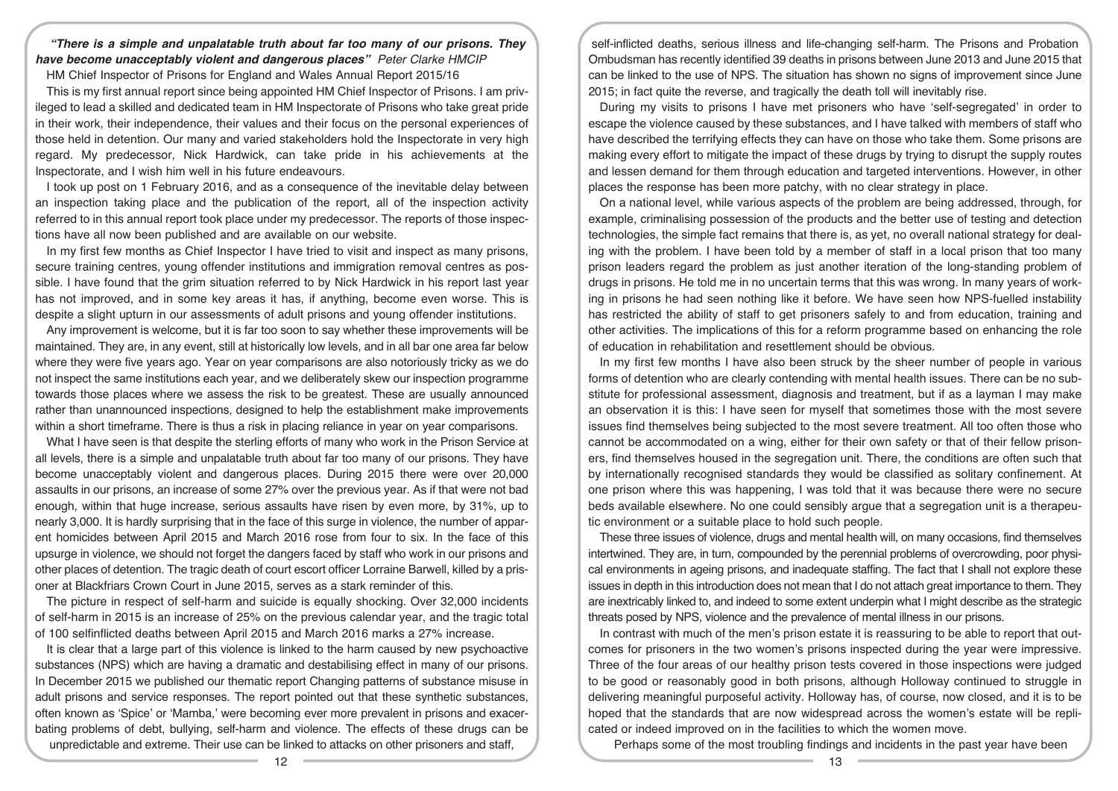*"There is a simple and unpalatable truth about far too many of our prisons. They have become unacceptably violent and dangerous places" Peter Clarke HMCIP*

HM Chief Inspector of Prisons for England and Wales Annual Report 2015/16

This is my first annual report since being appointed HM Chief Inspector of Prisons. I am privileged to lead a skilled and dedicated team in HM Inspectorate of Prisons who take great pride in their work, their independence, their values and their focus on the personal experiences of those held in detention. Our many and varied stakeholders hold the Inspectorate in very high regard. My predecessor, Nick Hardwick, can take pride in his achievements at the Inspectorate, and I wish him well in his future endeavours.

I took up post on 1 February 2016, and as a consequence of the inevitable delay between an inspection taking place and the publication of the report, all of the inspection activity referred to in this annual report took place under my predecessor. The reports of those inspections have all now been published and are available on our website.

In my first few months as Chief Inspector I have tried to visit and inspect as many prisons, secure training centres, young offender institutions and immigration removal centres as possible. I have found that the grim situation referred to by Nick Hardwick in his report last year has not improved, and in some key areas it has, if anything, become even worse. This is despite a slight upturn in our assessments of adult prisons and young offender institutions.

Any improvement is welcome, but it is far too soon to say whether these improvements will be maintained. They are, in any event, still at historically low levels, and in all bar one area far below where they were five years ago. Year on year comparisons are also notoriously tricky as we do not inspect the same institutions each year, and we deliberately skew our inspection programme towards those places where we assess the risk to be greatest. These are usually announced rather than unannounced inspections, designed to help the establishment make improvements within a short timeframe. There is thus a risk in placing reliance in year on year comparisons.

What I have seen is that despite the sterling efforts of many who work in the Prison Service at all levels, there is a simple and unpalatable truth about far too many of our prisons. They have become unacceptably violent and dangerous places. During 2015 there were over 20,000 assaults in our prisons, an increase of some 27% over the previous year. As if that were not bad enough, within that huge increase, serious assaults have risen by even more, by 31%, up to nearly 3,000. It is hardly surprising that in the face of this surge in violence, the number of apparent homicides between April 2015 and March 2016 rose from four to six. In the face of this upsurge in violence, we should not forget the dangers faced by staff who work in our prisons and other places of detention. The tragic death of court escort officer Lorraine Barwell, killed by a prisoner at Blackfriars Crown Court in June 2015, serves as a stark reminder of this.

The picture in respect of self-harm and suicide is equally shocking. Over 32,000 incidents of self-harm in 2015 is an increase of 25% on the previous calendar year, and the tragic total of 100 selfinflicted deaths between April 2015 and March 2016 marks a 27% increase.

It is clear that a large part of this violence is linked to the harm caused by new psychoactive substances (NPS) which are having a dramatic and destabilising effect in many of our prisons. In December 2015 we published our thematic report Changing patterns of substance misuse in adult prisons and service responses. The report pointed out that these synthetic substances, often known as 'Spice' or 'Mamba,' were becoming ever more prevalent in prisons and exacerbating problems of debt, bullying, self-harm and violence. The effects of these drugs can be unpredictable and extreme. Their use can be linked to attacks on other prisoners and staff,

self-inflicted deaths, serious illness and life-changing self-harm. The Prisons and Probation Ombudsman has recently identified 39 deaths in prisons between June 2013 and June 2015 that can be linked to the use of NPS. The situation has shown no signs of improvement since June 2015; in fact quite the reverse, and tragically the death toll will inevitably rise.

During my visits to prisons I have met prisoners who have 'self-segregated' in order to escape the violence caused by these substances, and I have talked with members of staff who have described the terrifying effects they can have on those who take them. Some prisons are making every effort to mitigate the impact of these drugs by trying to disrupt the supply routes and lessen demand for them through education and targeted interventions. However, in other places the response has been more patchy, with no clear strategy in place.

On a national level, while various aspects of the problem are being addressed, through, for example, criminalising possession of the products and the better use of testing and detection technologies, the simple fact remains that there is, as yet, no overall national strategy for dealing with the problem. I have been told by a member of staff in a local prison that too many prison leaders regard the problem as just another iteration of the long-standing problem of drugs in prisons. He told me in no uncertain terms that this was wrong. In many years of working in prisons he had seen nothing like it before. We have seen how NPS-fuelled instability has restricted the ability of staff to get prisoners safely to and from education, training and other activities. The implications of this for a reform programme based on enhancing the role of education in rehabilitation and resettlement should be obvious.

In my first few months I have also been struck by the sheer number of people in various forms of detention who are clearly contending with mental health issues. There can be no substitute for professional assessment, diagnosis and treatment, but if as a layman I may make an observation it is this: I have seen for myself that sometimes those with the most severe issues find themselves being subjected to the most severe treatment. All too often those who cannot be accommodated on a wing, either for their own safety or that of their fellow prisoners, find themselves housed in the segregation unit. There, the conditions are often such that by internationally recognised standards they would be classified as solitary confinement. At one prison where this was happening, I was told that it was because there were no secure beds available elsewhere. No one could sensibly argue that a segregation unit is a therapeutic environment or a suitable place to hold such people.

These three issues of violence, drugs and mental health will, on many occasions, find themselves intertwined. They are, in turn, compounded by the perennial problems of overcrowding, poor physical environments in ageing prisons, and inadequate staffing. The fact that I shall not explore these issues in depth in this introduction does not mean that I do not attach great importance to them. They are inextricably linked to, and indeed to some extent underpin what I might describe as the strategic threats posed by NPS, violence and the prevalence of mental illness in our prisons.

In contrast with much of the men's prison estate it is reassuring to be able to report that outcomes for prisoners in the two women's prisons inspected during the year were impressive. Three of the four areas of our healthy prison tests covered in those inspections were judged to be good or reasonably good in both prisons, although Holloway continued to struggle in delivering meaningful purposeful activity. Holloway has, of course, now closed, and it is to be hoped that the standards that are now widespread across the women's estate will be replicated or indeed improved on in the facilities to which the women move.

Perhaps some of the most troubling findings and incidents in the past year have been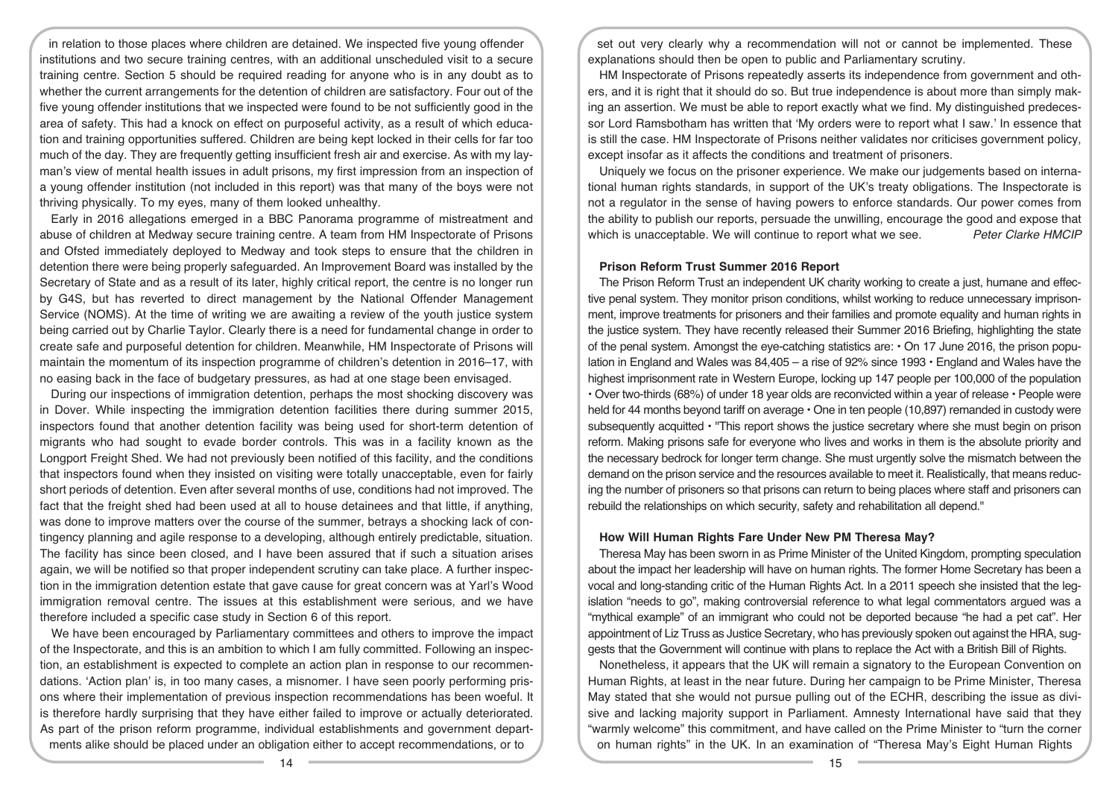in relation to those places where children are detained. We inspected five young offender institutions and two secure training centres, with an additional unscheduled visit to a secure training centre. Section 5 should be required reading for anyone who is in any doubt as to whether the current arrangements for the detention of children are satisfactory. Four out of the five young offender institutions that we inspected were found to be not sufficiently good in the area of safety. This had a knock on effect on purposeful activity, as a result of which education and training opportunities suffered. Children are being kept locked in their cells for far too much of the day. They are frequently getting insufficient fresh air and exercise. As with my layman's view of mental health issues in adult prisons, my first impression from an inspection of a young offender institution (not included in this report) was that many of the boys were not thriving physically. To my eyes, many of them looked unhealthy.

Early in 2016 allegations emerged in a BBC Panorama programme of mistreatment and abuse of children at Medway secure training centre. A team from HM Inspectorate of Prisons and Ofsted immediately deployed to Medway and took steps to ensure that the children in detention there were being properly safeguarded. An Improvement Board was installed by the Secretary of State and as a result of its later, highly critical report, the centre is no longer run by G4S, but has reverted to direct management by the National Offender Management Service (NOMS). At the time of writing we are awaiting a review of the youth justice system being carried out by Charlie Taylor. Clearly there is a need for fundamental change in order to create safe and purposeful detention for children. Meanwhile, HM Inspectorate of Prisons will maintain the momentum of its inspection programme of children's detention in 2016–17, with no easing back in the face of budgetary pressures, as had at one stage been envisaged.

During our inspections of immigration detention, perhaps the most shocking discovery was in Dover. While inspecting the immigration detention facilities there during summer 2015, inspectors found that another detention facility was being used for short-term detention of migrants who had sought to evade border controls. This was in a facility known as the Longport Freight Shed. We had not previously been notified of this facility, and the conditions that inspectors found when they insisted on visiting were totally unacceptable, even for fairly short periods of detention. Even after several months of use, conditions had not improved. The fact that the freight shed had been used at all to house detainees and that little, if anything, was done to improve matters over the course of the summer, betrays a shocking lack of contingency planning and agile response to a developing, although entirely predictable, situation. The facility has since been closed, and I have been assured that if such a situation arises again, we will be notified so that proper independent scrutiny can take place. A further inspection in the immigration detention estate that gave cause for great concern was at Yarl's Wood immigration removal centre. The issues at this establishment were serious, and we have therefore included a specific case study in Section 6 of this report.

We have been encouraged by Parliamentary committees and others to improve the impact of the Inspectorate, and this is an ambition to which I am fully committed. Following an inspection, an establishment is expected to complete an action plan in response to our recommendations. 'Action plan' is, in too many cases, a misnomer. I have seen poorly performing prisons where their implementation of previous inspection recommendations has been woeful. It is therefore hardly surprising that they have either failed to improve or actually deteriorated. As part of the prison reform programme, individual establishments and government departments alike should be placed under an obligation either to accept recommendations, or to

set out very clearly why a recommendation will not or cannot be implemented. These explanations should then be open to public and Parliamentary scrutiny.

HM Inspectorate of Prisons repeatedly asserts its independence from government and others, and it is right that it should do so. But true independence is about more than simply making an assertion. We must be able to report exactly what we find. My distinguished predecessor Lord Ramsbotham has written that 'My orders were to report what I saw.' In essence that is still the case. HM Inspectorate of Prisons neither validates nor criticises government policy, except insofar as it affects the conditions and treatment of prisoners.

Uniquely we focus on the prisoner experience. We make our judgements based on international human rights standards, in support of the UK's treaty obligations. The Inspectorate is not a regulator in the sense of having powers to enforce standards. Our power comes from the ability to publish our reports, persuade the unwilling, encourage the good and expose that which is unacceptable. We will continue to report what we see. *Peter Clarke HMCIP*

#### **Prison Reform Trust Summer 2016 Report**

The Prison Reform Trust an independent UK charity working to create a just, humane and effective penal system. They monitor prison conditions, whilst working to reduce unnecessary imprisonment, improve treatments for prisoners and their families and promote equality and human rights in the justice system. They have recently released their Summer 2016 Briefing, highlighting the state of the penal system. Amongst the eye-catching statistics are: • On 17 June 2016, the prison population in England and Wales was 84,405 – a rise of 92% since 1993 • England and Wales have the highest imprisonment rate in Western Europe, locking up 147 people per 100,000 of the population • Over two-thirds (68%) of under 18 year olds are reconvicted within a year of release • People were held for 44 months beyond tariff on average  $\cdot$  One in ten people (10,897) remanded in custody were subsequently acquitted • "This report shows the justice secretary where she must begin on prison reform. Making prisons safe for everyone who lives and works in them is the absolute priority and the necessary bedrock for longer term change. She must urgently solve the mismatch between the demand on the prison service and the resources available to meet it. Realistically, that means reducing the number of prisoners so that prisons can return to being places where staff and prisoners can rebuild the relationships on which security, safety and rehabilitation all depend."

#### **How Will Human Rights Fare Under New PM Theresa May?**

Theresa May has been sworn in as Prime Minister of the United Kingdom, prompting speculation about the impact her leadership will have on human rights. The former Home Secretary has been a vocal and long-standing critic of the Human Rights Act. In a 2011 speech she insisted that the legislation "needs to go", making controversial reference to what legal commentators argued was a "mythical example" of an immigrant who could not be deported because "he had a pet cat". Her appointment of Liz Truss as Justice Secretary, who has previously spoken out against the HRA, suggests that the Government will continue with plans to replace the Act with a British Bill of Rights.

Nonetheless, it appears that the UK will remain a signatory to the European Convention on Human Rights, at least in the near future. During her campaign to be Prime Minister, Theresa May stated that she would not pursue pulling out of the ECHR, describing the issue as divisive and lacking majority support in Parliament. Amnesty International have said that they "warmly welcome" this commitment, and have called on the Prime Minister to "turn the corner on human rights" in the UK. In an examination of "Theresa May's Eight Human Rights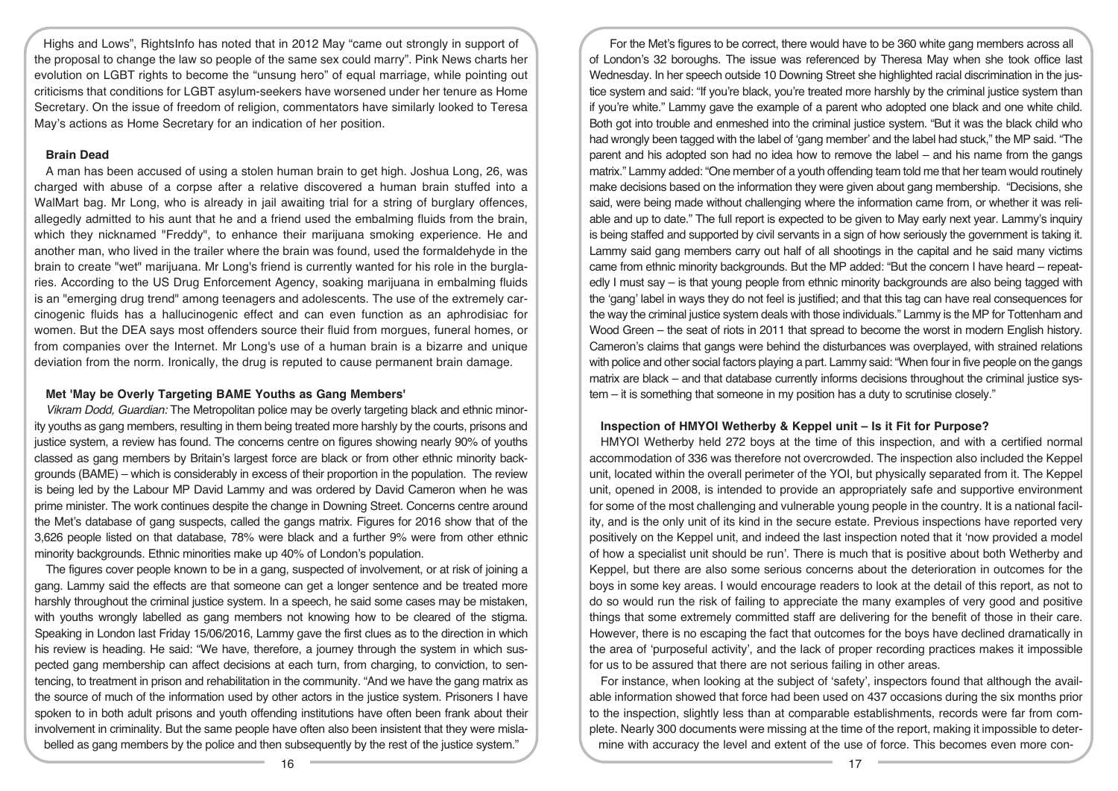Highs and Lows", RightsInfo has noted that in 2012 May "came out strongly in support of the proposal to change the law so people of the same sex could marry". Pink News charts her evolution on LGBT rights to become the "unsung hero" of equal marriage, while pointing out criticisms that conditions for LGBT asylum-seekers have worsened under her tenure as Home Secretary. On the issue of freedom of religion, commentators have similarly looked to Teresa May's actions as Home Secretary for an indication of her position.

# **Brain Dead**

A man has been accused of using a stolen human brain to get high. Joshua Long, 26, was charged with abuse of a corpse after a relative discovered a human brain stuffed into a WalMart bag. Mr Long, who is already in jail awaiting trial for a string of burglary offences, allegedly admitted to his aunt that he and a friend used the embalming fluids from the brain, which they nicknamed "Freddy", to enhance their marijuana smoking experience. He and another man, who lived in the trailer where the brain was found, used the formaldehyde in the brain to create "wet" marijuana. Mr Long's friend is currently wanted for his role in the burglaries. According to the US Drug Enforcement Agency, soaking marijuana in embalming fluids is an "emerging drug trend" among teenagers and adolescents. The use of the extremely carcinogenic fluids has a hallucinogenic effect and can even function as an aphrodisiac for women. But the DEA says most offenders source their fluid from morgues, funeral homes, or from companies over the Internet. Mr Long's use of a human brain is a bizarre and unique deviation from the norm. Ironically, the drug is reputed to cause permanent brain damage.

# **Met 'May be Overly Targeting BAME Youths as Gang Members'**

*Vikram Dodd, Guardian:* The Metropolitan police may be overly targeting black and ethnic minority youths as gang members, resulting in them being treated more harshly by the courts, prisons and justice system, a review has found. The concerns centre on figures showing nearly 90% of youths classed as gang members by Britain's largest force are black or from other ethnic minority backgrounds (BAME) – which is considerably in excess of their proportion in the population. The review is being led by the Labour MP David Lammy and was ordered by David Cameron when he was prime minister. The work continues despite the change in Downing Street. Concerns centre around the Met's database of gang suspects, called the gangs matrix. Figures for 2016 show that of the 3,626 people listed on that database, 78% were black and a further 9% were from other ethnic minority backgrounds. Ethnic minorities make up 40% of London's population.

The figures cover people known to be in a gang, suspected of involvement, or at risk of joining a gang. Lammy said the effects are that someone can get a longer sentence and be treated more harshly throughout the criminal justice system. In a speech, he said some cases may be mistaken, with youths wrongly labelled as gang members not knowing how to be cleared of the stigma. Speaking in London last Friday 15/06/2016, Lammy gave the first clues as to the direction in which his review is heading. He said: "We have, therefore, a journey through the system in which suspected gang membership can affect decisions at each turn, from charging, to conviction, to sentencing, to treatment in prison and rehabilitation in the community. "And we have the gang matrix as the source of much of the information used by other actors in the justice system. Prisoners I have spoken to in both adult prisons and youth offending institutions have often been frank about their involvement in criminality. But the same people have often also been insistent that they were mislabelled as gang members by the police and then subsequently by the rest of the justice system."

For the Met's figures to be correct, there would have to be 360 white gang members across all of London's 32 boroughs. The issue was referenced by Theresa May when she took office last Wednesday. In her speech outside 10 Downing Street she highlighted racial discrimination in the justice system and said: "If you're black, you're treated more harshly by the criminal justice system than if you're white." Lammy gave the example of a parent who adopted one black and one white child. Both got into trouble and enmeshed into the criminal justice system. "But it was the black child who had wrongly been tagged with the label of 'gang member' and the label had stuck," the MP said. "The parent and his adopted son had no idea how to remove the label – and his name from the gangs matrix." Lammy added: "One member of a youth offending team told me that her team would routinely make decisions based on the information they were given about gang membership. "Decisions, she said, were being made without challenging where the information came from, or whether it was reliable and up to date." The full report is expected to be given to May early next year. Lammy's inquiry is being staffed and supported by civil servants in a sign of how seriously the government is taking it. Lammy said gang members carry out half of all shootings in the capital and he said many victims came from ethnic minority backgrounds. But the MP added: "But the concern I have heard – repeatedly I must say – is that young people from ethnic minority backgrounds are also being tagged with the 'gang' label in ways they do not feel is justified; and that this tag can have real consequences for the way the criminal justice system deals with those individuals." Lammy is the MP for Tottenham and Wood Green – the seat of riots in 2011 that spread to become the worst in modern English history. Cameron's claims that gangs were behind the disturbances was overplayed, with strained relations with police and other social factors playing a part. Lammy said: "When four in five people on the gangs matrix are black – and that database currently informs decisions throughout the criminal justice system – it is something that someone in my position has a duty to scrutinise closely."

# **Inspection of HMYOI Wetherby & Keppel unit – Is it Fit for Purpose?**

HMYOI Wetherby held 272 boys at the time of this inspection, and with a certified normal accommodation of 336 was therefore not overcrowded. The inspection also included the Keppel unit, located within the overall perimeter of the YOI, but physically separated from it. The Keppel unit, opened in 2008, is intended to provide an appropriately safe and supportive environment for some of the most challenging and vulnerable young people in the country. It is a national facility, and is the only unit of its kind in the secure estate. Previous inspections have reported very positively on the Keppel unit, and indeed the last inspection noted that it 'now provided a model of how a specialist unit should be run'. There is much that is positive about both Wetherby and Keppel, but there are also some serious concerns about the deterioration in outcomes for the boys in some key areas. I would encourage readers to look at the detail of this report, as not to do so would run the risk of failing to appreciate the many examples of very good and positive things that some extremely committed staff are delivering for the benefit of those in their care. However, there is no escaping the fact that outcomes for the boys have declined dramatically in the area of 'purposeful activity', and the lack of proper recording practices makes it impossible for us to be assured that there are not serious failing in other areas.

For instance, when looking at the subject of 'safety', inspectors found that although the available information showed that force had been used on 437 occasions during the six months prior to the inspection, slightly less than at comparable establishments, records were far from complete. Nearly 300 documents were missing at the time of the report, making it impossible to determine with accuracy the level and extent of the use of force. This becomes even more con-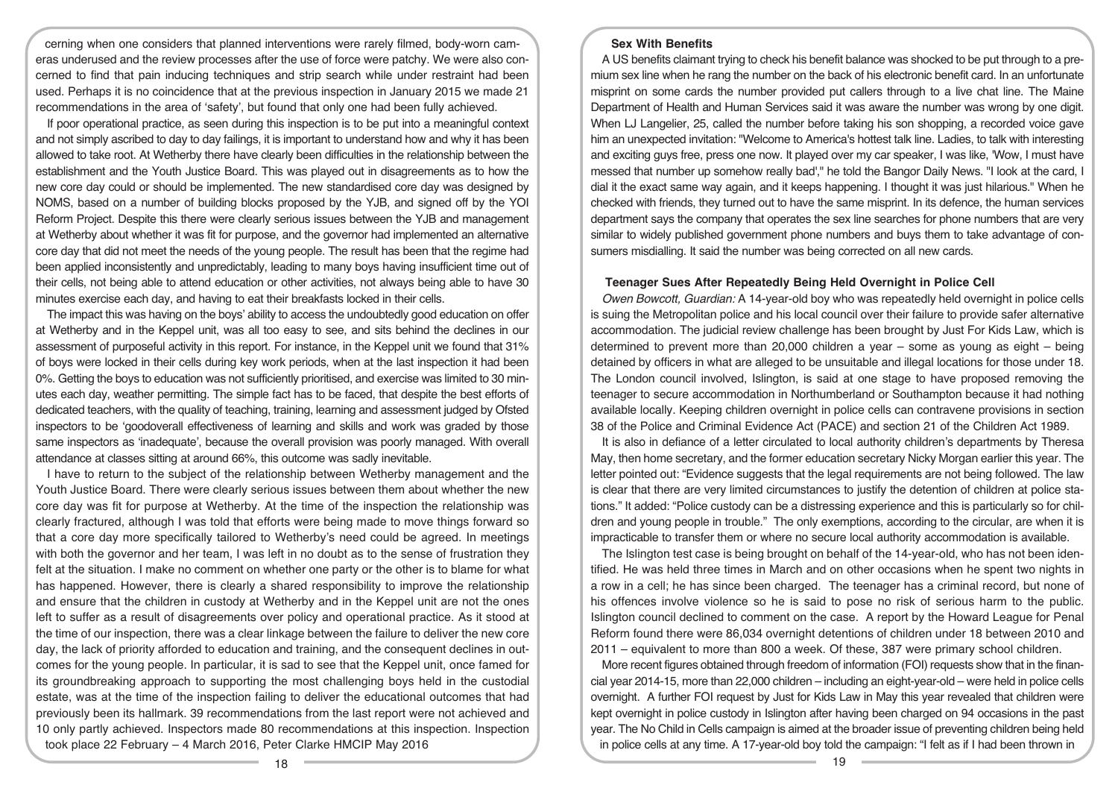cerning when one considers that planned interventions were rarely filmed, body-worn cameras underused and the review processes after the use of force were patchy. We were also concerned to find that pain inducing techniques and strip search while under restraint had been used. Perhaps it is no coincidence that at the previous inspection in January 2015 we made 21 recommendations in the area of 'safety', but found that only one had been fully achieved.

If poor operational practice, as seen during this inspection is to be put into a meaningful context and not simply ascribed to day to day failings, it is important to understand how and why it has been allowed to take root. At Wetherby there have clearly been difficulties in the relationship between the establishment and the Youth Justice Board. This was played out in disagreements as to how the new core day could or should be implemented. The new standardised core day was designed by NOMS, based on a number of building blocks proposed by the YJB, and signed off by the YOI Reform Project. Despite this there were clearly serious issues between the YJB and management at Wetherby about whether it was fit for purpose, and the governor had implemented an alternative core day that did not meet the needs of the young people. The result has been that the regime had been applied inconsistently and unpredictably, leading to many boys having insufficient time out of their cells, not being able to attend education or other activities, not always being able to have 30 minutes exercise each day, and having to eat their breakfasts locked in their cells.

The impact this was having on the boys' ability to access the undoubtedly good education on offer at Wetherby and in the Keppel unit, was all too easy to see, and sits behind the declines in our assessment of purposeful activity in this report. For instance, in the Keppel unit we found that 31% of boys were locked in their cells during key work periods, when at the last inspection it had been 0%. Getting the boys to education was not sufficiently prioritised, and exercise was limited to 30 minutes each day, weather permitting. The simple fact has to be faced, that despite the best efforts of dedicated teachers, with the quality of teaching, training, learning and assessment judged by Ofsted inspectors to be 'goodoverall effectiveness of learning and skills and work was graded by those same inspectors as 'inadequate', because the overall provision was poorly managed. With overall attendance at classes sitting at around 66%, this outcome was sadly inevitable.

I have to return to the subject of the relationship between Wetherby management and the Youth Justice Board. There were clearly serious issues between them about whether the new core day was fit for purpose at Wetherby. At the time of the inspection the relationship was clearly fractured, although I was told that efforts were being made to move things forward so that a core day more specifically tailored to Wetherby's need could be agreed. In meetings with both the governor and her team, I was left in no doubt as to the sense of frustration they felt at the situation. I make no comment on whether one party or the other is to blame for what has happened. However, there is clearly a shared responsibility to improve the relationship and ensure that the children in custody at Wetherby and in the Keppel unit are not the ones left to suffer as a result of disagreements over policy and operational practice. As it stood at the time of our inspection, there was a clear linkage between the failure to deliver the new core day, the lack of priority afforded to education and training, and the consequent declines in outcomes for the young people. In particular, it is sad to see that the Keppel unit, once famed for its groundbreaking approach to supporting the most challenging boys held in the custodial estate, was at the time of the inspection failing to deliver the educational outcomes that had previously been its hallmark. 39 recommendations from the last report were not achieved and 10 only partly achieved. Inspectors made 80 recommendations at this inspection. Inspection took place 22 February – 4 March 2016, Peter Clarke HMCIP May 2016

# **Sex With Benefits**

A US benefits claimant trying to check his benefit balance was shocked to be put through to a premium sex line when he rang the number on the back of his electronic benefit card. In an unfortunate misprint on some cards the number provided put callers through to a live chat line. The Maine Department of Health and Human Services said it was aware the number was wrong by one digit. When LJ Langelier, 25, called the number before taking his son shopping, a recorded voice gave him an unexpected invitation: "Welcome to America's hottest talk line. Ladies, to talk with interesting and exciting guys free, press one now. It played over my car speaker, I was like, 'Wow, I must have messed that number up somehow really bad'," he told the Bangor Daily News. "I look at the card, I dial it the exact same way again, and it keeps happening. I thought it was just hilarious." When he checked with friends, they turned out to have the same misprint. In its defence, the human services department says the company that operates the sex line searches for phone numbers that are very similar to widely published government phone numbers and buys them to take advantage of consumers misdialling. It said the number was being corrected on all new cards.

# **Teenager Sues After Repeatedly Being Held Overnight in Police Cell**

*Owen Bowcott, Guardian:* A 14-year-old boy who was repeatedly held overnight in police cells is suing the Metropolitan police and his local council over their failure to provide safer alternative accommodation. The judicial review challenge has been brought by Just For Kids Law, which is determined to prevent more than 20,000 children a year – some as young as eight – being detained by officers in what are alleged to be unsuitable and illegal locations for those under 18. The London council involved, Islington, is said at one stage to have proposed removing the teenager to secure accommodation in Northumberland or Southampton because it had nothing available locally. Keeping children overnight in police cells can contravene provisions in section 38 of the Police and Criminal Evidence Act (PACE) and section 21 of the Children Act 1989.

It is also in defiance of a letter circulated to local authority children's departments by Theresa May, then home secretary, and the former education secretary Nicky Morgan earlier this year. The letter pointed out: "Evidence suggests that the legal requirements are not being followed. The law is clear that there are very limited circumstances to justify the detention of children at police stations." It added: "Police custody can be a distressing experience and this is particularly so for children and young people in trouble." The only exemptions, according to the circular, are when it is impracticable to transfer them or where no secure local authority accommodation is available.

The Islington test case is being brought on behalf of the 14-year-old, who has not been identified. He was held three times in March and on other occasions when he spent two nights in a row in a cell; he has since been charged. The teenager has a criminal record, but none of his offences involve violence so he is said to pose no risk of serious harm to the public. Islington council declined to comment on the case. A report by the Howard League for Penal Reform found there were 86,034 overnight detentions of children under 18 between 2010 and 2011 – equivalent to more than 800 a week. Of these, 387 were primary school children.

More recent figures obtained through freedom of information (FOI) requests show that in the financial year 2014-15, more than 22,000 children – including an eight-year-old – were held in police cells overnight. A further FOI request by Just for Kids Law in May this year revealed that children were kept overnight in police custody in Islington after having been charged on 94 occasions in the past year. The No Child in Cells campaign is aimed at the broader issue of preventing children being held in police cells at any time. A 17-year-old boy told the campaign: "I felt as if I had been thrown in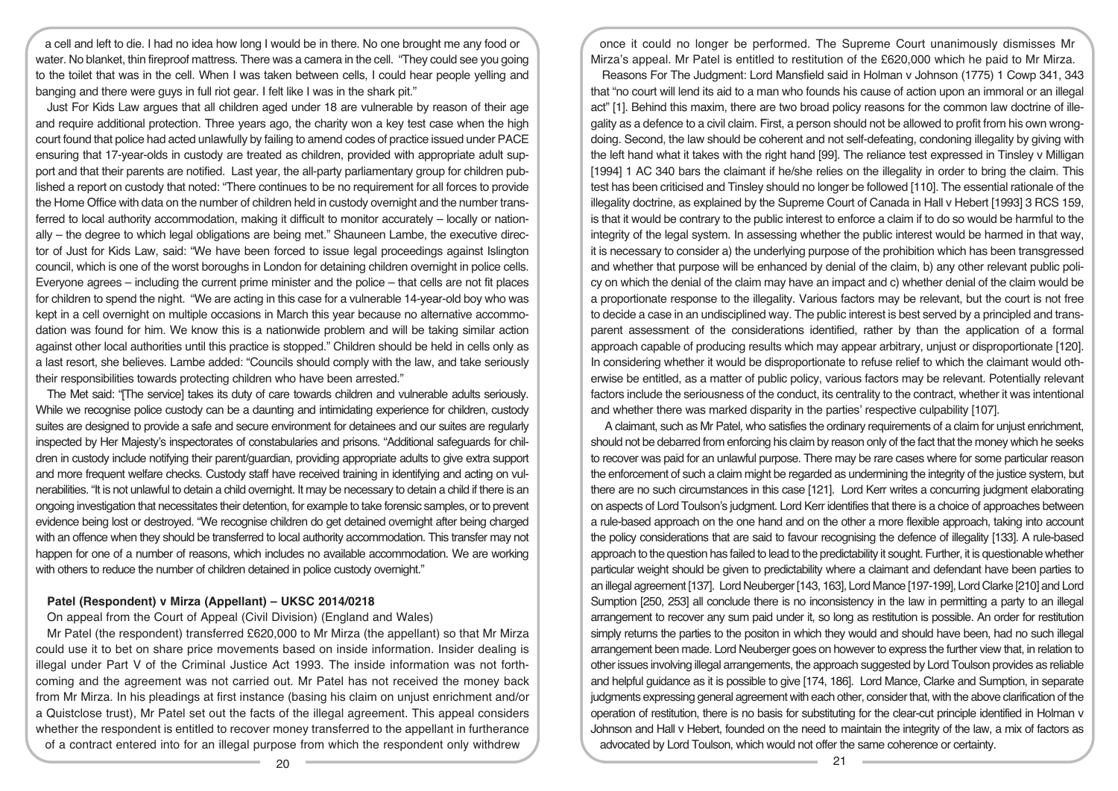a cell and left to die. I had no idea how long I would be in there. No one brought me any food or water. No blanket, thin fireproof mattress. There was a camera in the cell. "They could see you going to the toilet that was in the cell. When I was taken between cells, I could hear people yelling and banging and there were guys in full riot gear. I felt like I was in the shark pit."

Just For Kids Law argues that all children aged under 18 are vulnerable by reason of their age and require additional protection. Three years ago, the charity won a key test case when the high court found that police had acted unlawfully by failing to amend codes of practice issued under PACE ensuring that 17-year-olds in custody are treated as children, provided with appropriate adult support and that their parents are notified. Last year, the all-party parliamentary group for children published a report on custody that noted: "There continues to be no requirement for all forces to provide the Home Office with data on the number of children held in custody overnight and the number transferred to local authority accommodation, making it difficult to monitor accurately – locally or nationally – the degree to which legal obligations are being met." Shauneen Lambe, the executive director of Just for Kids Law, said: "We have been forced to issue legal proceedings against Islington council, which is one of the worst boroughs in London for detaining children overnight in police cells. Everyone agrees – including the current prime minister and the police – that cells are not fit places for children to spend the night. "We are acting in this case for a vulnerable 14-year-old boy who was kept in a cell overnight on multiple occasions in March this year because no alternative accommodation was found for him. We know this is a nationwide problem and will be taking similar action against other local authorities until this practice is stopped." Children should be held in cells only as a last resort, she believes. Lambe added: "Councils should comply with the law, and take seriously their responsibilities towards protecting children who have been arrested."

The Met said: "[The service] takes its duty of care towards children and vulnerable adults seriously. While we recognise police custody can be a daunting and intimidating experience for children, custody suites are designed to provide a safe and secure environment for detainees and our suites are regularly inspected by Her Majesty's inspectorates of constabularies and prisons. "Additional safeguards for children in custody include notifying their parent/guardian, providing appropriate adults to give extra support and more frequent welfare checks. Custody staff have received training in identifying and acting on vulnerabilities. "It is not unlawful to detain a child overnight. It may be necessary to detain a child if there is an ongoing investigation that necessitates their detention, for example to take forensic samples, orto prevent evidence being lost or destroyed. "We recognise children do get detained overnight after being charged with an offence when they should be transferred to local authority accommodation. This transfer may not happen for one of a number of reasons, which includes no available accommodation. We are working with others to reduce the number of children detained in police custody overnight."

# **Patel (Respondent) v Mirza (Appellant) – UKSC 2014/0218**

On appeal from the Court of Appeal (Civil Division) (England and Wales)

Mr Patel (the respondent) transferred £620,000 to Mr Mirza (the appellant) so that Mr Mirza could use it to bet on share price movements based on inside information. Insider dealing is illegal under Part V of the Criminal Justice Act 1993. The inside information was not forthcoming and the agreement was not carried out. Mr Patel has not received the money back from Mr Mirza. In his pleadings at first instance (basing his claim on unjust enrichment and/or a Quistclose trust), Mr Patel set out the facts of the illegal agreement. This appeal considers whether the respondent is entitled to recover money transferred to the appellant in furtherance of a contract entered into for an illegal purpose from which the respondent only withdrew

once it could no longer be performed. The Supreme Court unanimously dismisses Mr Mirza's appeal. Mr Patel is entitled to restitution of the £620,000 which he paid to Mr Mirza.

Reasons For The Judgment: Lord Mansfield said in Holman v Johnson (1775) 1 Cowp 341, 343 that "no court will lend its aid to a man who founds his cause of action upon an immoral or an illegal act" [1]. Behind this maxim, there are two broad policy reasons for the common law doctrine of illegality as a defence to a civil claim. First, a person should not be allowed to profit from his own wrongdoing. Second, the law should be coherent and not self-defeating, condoning illegality by giving with the left hand what it takes with the right hand [99]. The reliance test expressed in Tinsley v Milligan [1994] 1 AC 340 bars the claimant if he/she relies on the illegality in order to bring the claim. This test has been criticised and Tinsley should no longer be followed [110]. The essential rationale of the illegality doctrine, as explained by the Supreme Court of Canada in Hall v Hebert [1993] 3 RCS 159, is that it would be contrary to the public interest to enforce a claim if to do so would be harmful to the integrity of the legal system. In assessing whether the public interest would be harmed in that way, it is necessary to consider a) the underlying purpose of the prohibition which has been transgressed and whether that purpose will be enhanced by denial of the claim, b) any other relevant public policy on which the denial of the claim may have an impact and c) whether denial of the claim would be a proportionate response to the illegality. Various factors may be relevant, but the court is not free to decide a case in an undisciplined way. The public interest is best served by a principled and transparent assessment of the considerations identified, rather by than the application of a formal approach capable of producing results which may appear arbitrary, unjust or disproportionate [120]. In considering whether it would be disproportionate to refuse relief to which the claimant would otherwise be entitled, as a matter of public policy, various factors may be relevant. Potentially relevant factors include the seriousness of the conduct, its centrality to the contract, whether it was intentional and whether there was marked disparity in the parties' respective culpability [107].

A claimant, such as Mr Patel, who satisfies the ordinary requirements of a claim for unjust enrichment, should not be debarred from enforcing his claim by reason only of the fact that the money which he seeks to recover was paid for an unlawful purpose. There may be rare cases where for some particular reason the enforcement of such a claim might be regarded as undermining the integrity of the justice system, but there are no such circumstances in this case [121]. Lord Kerr writes a concurring judgment elaborating on aspects of Lord Toulson's judgment. Lord Kerr identifies that there is a choice of approaches between a rule-based approach on the one hand and on the other a more flexible approach, taking into account the policy considerations that are said to favour recognising the defence of illegality [133]. A rule-based approach to the question has failed to lead to the predictability it sought. Further, it is questionable whether particular weight should be given to predictability where a claimant and defendant have been parties to an illegal agreement [137]. Lord Neuberger[143, 163], Lord Mance [197-199], Lord Clarke [210] and Lord Sumption [250, 253] all conclude there is no inconsistency in the law in permitting a party to an illegal arrangement to recover any sum paid under it, so long as restitution is possible. An order for restitution simply returns the parties to the positon in which they would and should have been, had no such illegal arrangement been made. Lord Neuberger goes on however to express the further view that, in relation to other issues involving illegal arrangements, the approach suggested by Lord Toulson provides as reliable and helpful guidance as it is possible to give [174, 186]. Lord Mance, Clarke and Sumption, in separate judgments expressing general agreement with each other, considerthat, with the above clarification of the operation of restitution, there is no basis for substituting for the clear-cut principle identified in Holman v Johnson and Hall v Hebert, founded on the need to maintain the integrity of the law, a mix of factors as advocated by Lord Toulson, which would not offer the same coherence or certainty.